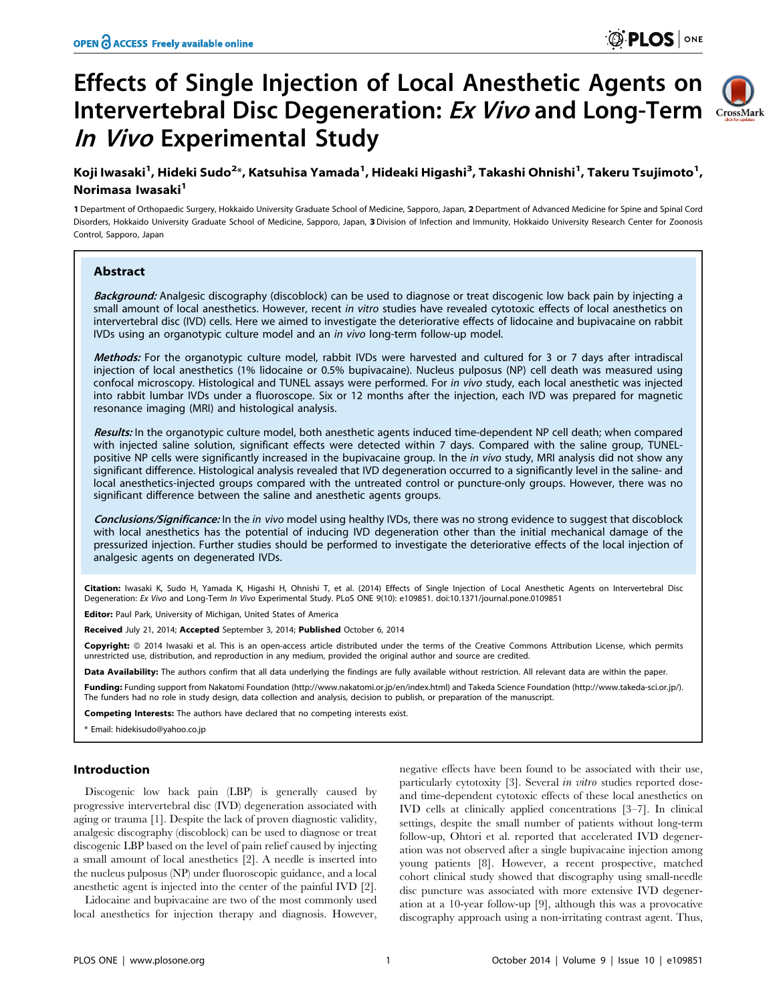# Effects of Single Injection of Local Anesthetic Agents on Intervertebral Disc Degeneration: Ex Vivo and Long-Term CrossMark In Vivo Experimental Study



## Koji Iwasaki<sup>1</sup>, Hideki Sudo<sup>2</sup>\*, Katsuhisa Yamada<sup>1</sup>, Hideaki Higashi<sup>3</sup>, Takashi Ohnishi<sup>1</sup>, Takeru Tsujimoto<sup>1</sup>, Norimasa Iwasaki<sup>1</sup>

1 Department of Orthopaedic Surgery, Hokkaido University Graduate School of Medicine, Sapporo, Japan, 2 Department of Advanced Medicine for Spine and Spinal Cord Disorders, Hokkaido University Graduate School of Medicine, Sapporo, Japan, 3 Division of Infection and Immunity, Hokkaido University Research Center for Zoonosis Control, Sapporo, Japan

## Abstract

Background: Analgesic discography (discoblock) can be used to diagnose or treat discogenic low back pain by injecting a small amount of local anesthetics. However, recent in vitro studies have revealed cytotoxic effects of local anesthetics on intervertebral disc (IVD) cells. Here we aimed to investigate the deteriorative effects of lidocaine and bupivacaine on rabbit IVDs using an organotypic culture model and an in vivo long-term follow-up model.

Methods: For the organotypic culture model, rabbit IVDs were harvested and cultured for 3 or 7 days after intradiscal injection of local anesthetics (1% lidocaine or 0.5% bupivacaine). Nucleus pulposus (NP) cell death was measured using confocal microscopy. Histological and TUNEL assays were performed. For in vivo study, each local anesthetic was injected into rabbit lumbar IVDs under a fluoroscope. Six or 12 months after the injection, each IVD was prepared for magnetic resonance imaging (MRI) and histological analysis.

Results: In the organotypic culture model, both anesthetic agents induced time-dependent NP cell death; when compared with injected saline solution, significant effects were detected within 7 days. Compared with the saline group, TUNELpositive NP cells were significantly increased in the bupivacaine group. In the in vivo study, MRI analysis did not show any significant difference. Histological analysis revealed that IVD degeneration occurred to a significantly level in the saline- and local anesthetics-injected groups compared with the untreated control or puncture-only groups. However, there was no significant difference between the saline and anesthetic agents groups.

Conclusions/Significance: In the in vivo model using healthy IVDs, there was no strong evidence to suggest that discoblock with local anesthetics has the potential of inducing IVD degeneration other than the initial mechanical damage of the pressurized injection. Further studies should be performed to investigate the deteriorative effects of the local injection of analgesic agents on degenerated IVDs.

Citation: Iwasaki K, Sudo H, Yamada K, Higashi H, Ohnishi T, et al. (2014) Effects of Single Injection of Local Anesthetic Agents on Intervertebral Disc Degeneration: Ex Vivo and Long-Term In Vivo Experimental Study. PLoS ONE 9(10): e109851. doi:10.1371/journal.pone.0109851

Editor: Paul Park, University of Michigan, United States of America

Received July 21, 2014; Accepted September 3, 2014; Published October 6, 2014

Copyright: © 2014 Iwasaki et al. This is an open-access article distributed under the terms of the [Creative Commons Attribution License](http://creativecommons.org/licenses/by/4.0/), which permits unrestricted use, distribution, and reproduction in any medium, provided the original author and source are credited.

Data Availability: The authors confirm that all data underlying the findings are fully available without restriction. All relevant data are within the paper.

Funding: Funding support from Nakatomi Foundation ([http://www.nakatomi.or.jp/en/index.html\)](http://www.nakatomi.or.jp/en/index.html) and Takeda Science Foundation [\(http://www.takeda-sci.or.jp/](http://www.takeda-sci.or.jp/)). The funders had no role in study design, data collection and analysis, decision to publish, or preparation of the manuscript.

Competing Interests: The authors have declared that no competing interests exist.

\* Email: hidekisudo@yahoo.co.jp

## Introduction

Discogenic low back pain (LBP) is generally caused by progressive intervertebral disc (IVD) degeneration associated with aging or trauma [1]. Despite the lack of proven diagnostic validity, analgesic discography (discoblock) can be used to diagnose or treat discogenic LBP based on the level of pain relief caused by injecting a small amount of local anesthetics [2]. A needle is inserted into the nucleus pulposus (NP) under fluoroscopic guidance, and a local anesthetic agent is injected into the center of the painful IVD [2].

Lidocaine and bupivacaine are two of the most commonly used local anesthetics for injection therapy and diagnosis. However,

negative effects have been found to be associated with their use, particularly cytotoxity [3]. Several in vitro studies reported doseand time-dependent cytotoxic effects of these local anesthetics on IVD cells at clinically applied concentrations [3–7]. In clinical settings, despite the small number of patients without long-term follow-up, Ohtori et al. reported that accelerated IVD degeneration was not observed after a single bupivacaine injection among young patients [8]. However, a recent prospective, matched cohort clinical study showed that discography using small-needle disc puncture was associated with more extensive IVD degeneration at a 10-year follow-up [9], although this was a provocative discography approach using a non-irritating contrast agent. Thus,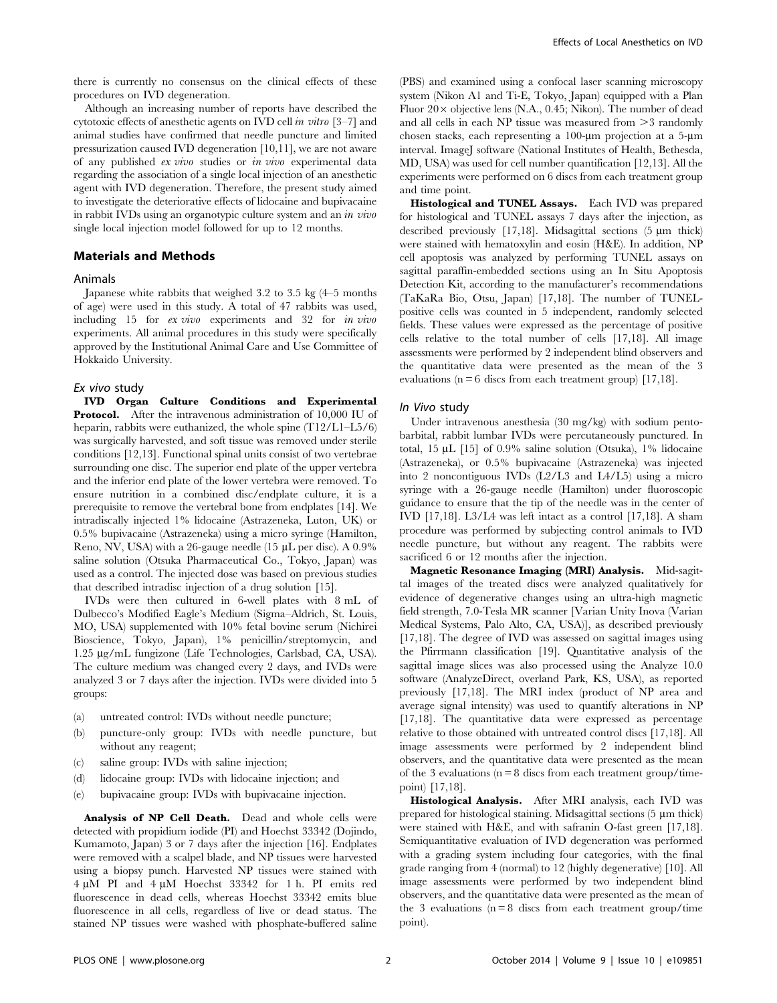there is currently no consensus on the clinical effects of these procedures on IVD degeneration.

Although an increasing number of reports have described the cytotoxic effects of anesthetic agents on IVD cell in vitro [3–7] and animal studies have confirmed that needle puncture and limited pressurization caused IVD degeneration [10,11], we are not aware of any published ex vivo studies or in vivo experimental data regarding the association of a single local injection of an anesthetic agent with IVD degeneration. Therefore, the present study aimed to investigate the deteriorative effects of lidocaine and bupivacaine in rabbit IVDs using an organotypic culture system and an in vivo single local injection model followed for up to 12 months.

## Materials and Methods

## Animals

Japanese white rabbits that weighed 3.2 to 3.5 kg (4–5 months of age) were used in this study. A total of 47 rabbits was used, including 15 for ex vivo experiments and 32 for in vivo experiments. All animal procedures in this study were specifically approved by the Institutional Animal Care and Use Committee of Hokkaido University.

#### Ex vivo study

IVD Organ Culture Conditions and Experimental Protocol. After the intravenous administration of 10,000 IU of heparin, rabbits were euthanized, the whole spine (T12/L1–L5/6) was surgically harvested, and soft tissue was removed under sterile conditions [12,13]. Functional spinal units consist of two vertebrae surrounding one disc. The superior end plate of the upper vertebra and the inferior end plate of the lower vertebra were removed. To ensure nutrition in a combined disc/endplate culture, it is a prerequisite to remove the vertebral bone from endplates [14]. We intradiscally injected 1% lidocaine (Astrazeneka, Luton, UK) or 0.5% bupivacaine (Astrazeneka) using a micro syringe (Hamilton, Reno, NV, USA) with a 26-gauge needle (15  $\mu$ L per disc). A 0.9% saline solution (Otsuka Pharmaceutical Co., Tokyo, Japan) was used as a control. The injected dose was based on previous studies that described intradisc injection of a drug solution [15].

IVDs were then cultured in 6-well plates with 8 mL of Dulbecco's Modified Eagle's Medium (Sigma–Aldrich, St. Louis, MO, USA) supplemented with 10% fetal bovine serum (Nichirei Bioscience, Tokyo, Japan), 1% penicillin/streptomycin, and 1.25 mg/mL fungizone (Life Technologies, Carlsbad, CA, USA). The culture medium was changed every 2 days, and IVDs were analyzed 3 or 7 days after the injection. IVDs were divided into 5 groups:

- (a) untreated control: IVDs without needle puncture;
- (b) puncture-only group: IVDs with needle puncture, but without any reagent;
- (c) saline group: IVDs with saline injection;
- (d) lidocaine group: IVDs with lidocaine injection; and
- (e) bupivacaine group: IVDs with bupivacaine injection.

Analysis of NP Cell Death. Dead and whole cells were detected with propidium iodide (PI) and Hoechst 33342 (Dojindo, Kumamoto, Japan) 3 or 7 days after the injection [16]. Endplates were removed with a scalpel blade, and NP tissues were harvested using a biopsy punch. Harvested NP tissues were stained with  $4 \mu M$  PI and  $4 \mu M$  Hoechst 33342 for 1 h. PI emits red fluorescence in dead cells, whereas Hoechst 33342 emits blue fluorescence in all cells, regardless of live or dead status. The stained NP tissues were washed with phosphate-buffered saline

(PBS) and examined using a confocal laser scanning microscopy system (Nikon A1 and Ti-E, Tokyo, Japan) equipped with a Plan Fluor  $20 \times$  objective lens (N.A., 0.45; Nikon). The number of dead and all cells in each NP tissue was measured from  $>3$  randomly chosen stacks, each representing a 100- $\mu$ m projection at a 5- $\mu$ m interval. ImageJ software (National Institutes of Health, Bethesda, MD, USA) was used for cell number quantification [12,13]. All the experiments were performed on 6 discs from each treatment group and time point.

Histological and TUNEL Assays. Each IVD was prepared for histological and TUNEL assays 7 days after the injection, as described previously  $[17,18]$ . Midsagittal sections  $(5 \text{ µm thick})$ were stained with hematoxylin and eosin (H&E). In addition, NP cell apoptosis was analyzed by performing TUNEL assays on sagittal paraffin-embedded sections using an In Situ Apoptosis Detection Kit, according to the manufacturer's recommendations (TaKaRa Bio, Otsu, Japan) [17,18]. The number of TUNELpositive cells was counted in 5 independent, randomly selected fields. These values were expressed as the percentage of positive cells relative to the total number of cells [17,18]. All image assessments were performed by 2 independent blind observers and the quantitative data were presented as the mean of the 3 evaluations ( $n = 6$  discs from each treatment group) [17,18].

#### In Vivo study

Under intravenous anesthesia (30 mg/kg) with sodium pentobarbital, rabbit lumbar IVDs were percutaneously punctured. In total,  $15 \mu L$  [15] of 0.9% saline solution (Otsuka), 1% lidocaine (Astrazeneka), or 0.5% bupivacaine (Astrazeneka) was injected into 2 noncontiguous IVDs (L2/L3 and L4/L5) using a micro syringe with a 26-gauge needle (Hamilton) under fluoroscopic guidance to ensure that the tip of the needle was in the center of IVD [17,18]. L3/L4 was left intact as a control [17,18]. A sham procedure was performed by subjecting control animals to IVD needle puncture, but without any reagent. The rabbits were sacrificed 6 or 12 months after the injection.

Magnetic Resonance Imaging (MRI) Analysis. Mid-sagittal images of the treated discs were analyzed qualitatively for evidence of degenerative changes using an ultra-high magnetic field strength, 7.0-Tesla MR scanner [Varian Unity Inova (Varian Medical Systems, Palo Alto, CA, USA)], as described previously [17,18]. The degree of IVD was assessed on sagittal images using the Pfirrmann classification [19]. Quantitative analysis of the sagittal image slices was also processed using the Analyze 10.0 software (AnalyzeDirect, overland Park, KS, USA), as reported previously [17,18]. The MRI index (product of NP area and average signal intensity) was used to quantify alterations in NP [17,18]. The quantitative data were expressed as percentage relative to those obtained with untreated control discs [17,18]. All image assessments were performed by 2 independent blind observers, and the quantitative data were presented as the mean of the 3 evaluations ( $n = 8$  discs from each treatment group/timepoint) [17,18].

Histological Analysis. After MRI analysis, each IVD was prepared for histological staining. Midsagittal sections  $(5 \mu m)$  thick) were stained with H&E, and with safranin O-fast green [17,18]. Semiquantitative evaluation of IVD degeneration was performed with a grading system including four categories, with the final grade ranging from 4 (normal) to 12 (highly degenerative) [10]. All image assessments were performed by two independent blind observers, and the quantitative data were presented as the mean of the 3 evaluations  $(n = 8$  discs from each treatment group/time point).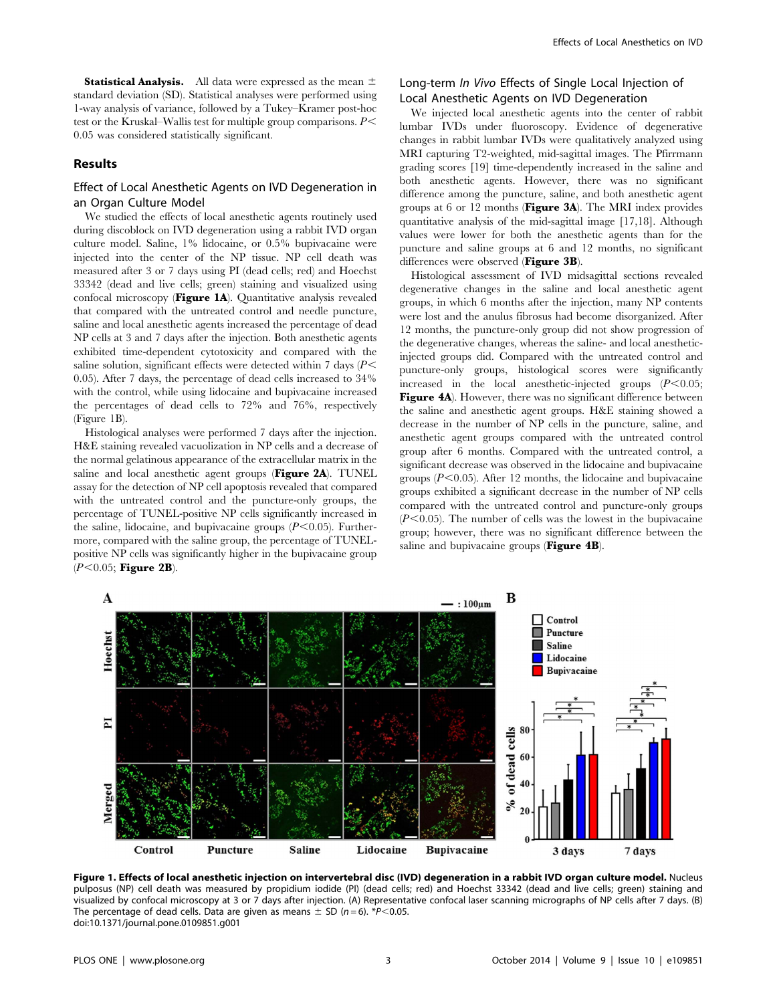**Statistical Analysis.** All data were expressed as the mean  $\pm$ standard deviation (SD). Statistical analyses were performed using 1-way analysis of variance, followed by a Tukey–Kramer post-hoc test or the Kruskal–Wallis test for multiple group comparisons.  $P<$ 0.05 was considered statistically significant.

## Results

## Effect of Local Anesthetic Agents on IVD Degeneration in an Organ Culture Model

We studied the effects of local anesthetic agents routinely used during discoblock on IVD degeneration using a rabbit IVD organ culture model. Saline, 1% lidocaine, or 0.5% bupivacaine were injected into the center of the NP tissue. NP cell death was measured after 3 or 7 days using PI (dead cells; red) and Hoechst 33342 (dead and live cells; green) staining and visualized using confocal microscopy (Figure 1A). Quantitative analysis revealed that compared with the untreated control and needle puncture, saline and local anesthetic agents increased the percentage of dead NP cells at 3 and 7 days after the injection. Both anesthetic agents exhibited time-dependent cytotoxicity and compared with the saline solution, significant effects were detected within 7 days  $(P<$ 0.05). After 7 days, the percentage of dead cells increased to 34% with the control, while using lidocaine and bupivacaine increased the percentages of dead cells to 72% and 76%, respectively (Figure 1B).

Histological analyses were performed 7 days after the injection. H&E staining revealed vacuolization in NP cells and a decrease of the normal gelatinous appearance of the extracellular matrix in the saline and local anesthetic agent groups (Figure 2A). TUNEL assay for the detection of NP cell apoptosis revealed that compared with the untreated control and the puncture-only groups, the percentage of TUNEL-positive NP cells significantly increased in the saline, lidocaine, and bupivacaine groups  $(P<0.05)$ . Furthermore, compared with the saline group, the percentage of TUNELpositive NP cells was significantly higher in the bupivacaine group  $(P<0.05;$  Figure 2B).

## Long-term In Vivo Effects of Single Local Injection of Local Anesthetic Agents on IVD Degeneration

We injected local anesthetic agents into the center of rabbit lumbar IVDs under fluoroscopy. Evidence of degenerative changes in rabbit lumbar IVDs were qualitatively analyzed using MRI capturing T2-weighted, mid-sagittal images. The Pfirrmann grading scores [19] time-dependently increased in the saline and both anesthetic agents. However, there was no significant difference among the puncture, saline, and both anesthetic agent groups at 6 or 12 months (Figure 3A). The MRI index provides quantitative analysis of the mid-sagittal image [17,18]. Although values were lower for both the anesthetic agents than for the puncture and saline groups at 6 and 12 months, no significant differences were observed (Figure 3B).

Histological assessment of IVD midsagittal sections revealed degenerative changes in the saline and local anesthetic agent groups, in which 6 months after the injection, many NP contents were lost and the anulus fibrosus had become disorganized. After 12 months, the puncture-only group did not show progression of the degenerative changes, whereas the saline- and local anestheticinjected groups did. Compared with the untreated control and puncture-only groups, histological scores were significantly increased in the local anesthetic-injected groups  $(P<0.05;$ Figure 4A). However, there was no significant difference between the saline and anesthetic agent groups. H&E staining showed a decrease in the number of NP cells in the puncture, saline, and anesthetic agent groups compared with the untreated control group after 6 months. Compared with the untreated control, a significant decrease was observed in the lidocaine and bupivacaine groups  $(P<0.05)$ . After 12 months, the lidocaine and bupivacaine groups exhibited a significant decrease in the number of NP cells compared with the untreated control and puncture-only groups  $(P<0.05)$ . The number of cells was the lowest in the bupivacaine group; however, there was no significant difference between the saline and bupivacaine groups (Figure 4B).



Figure 1. Effects of local anesthetic injection on intervertebral disc (IVD) degeneration in a rabbit IVD organ culture model. Nucleus pulposus (NP) cell death was measured by propidium iodide (PI) (dead cells; red) and Hoechst 33342 (dead and live cells; green) staining and visualized by confocal microscopy at 3 or 7 days after injection. (A) Representative confocal laser scanning micrographs of NP cells after 7 days. (B) The percentage of dead cells. Data are given as means  $\pm$  SD (n = 6). \*P<0.05. doi:10.1371/journal.pone.0109851.g001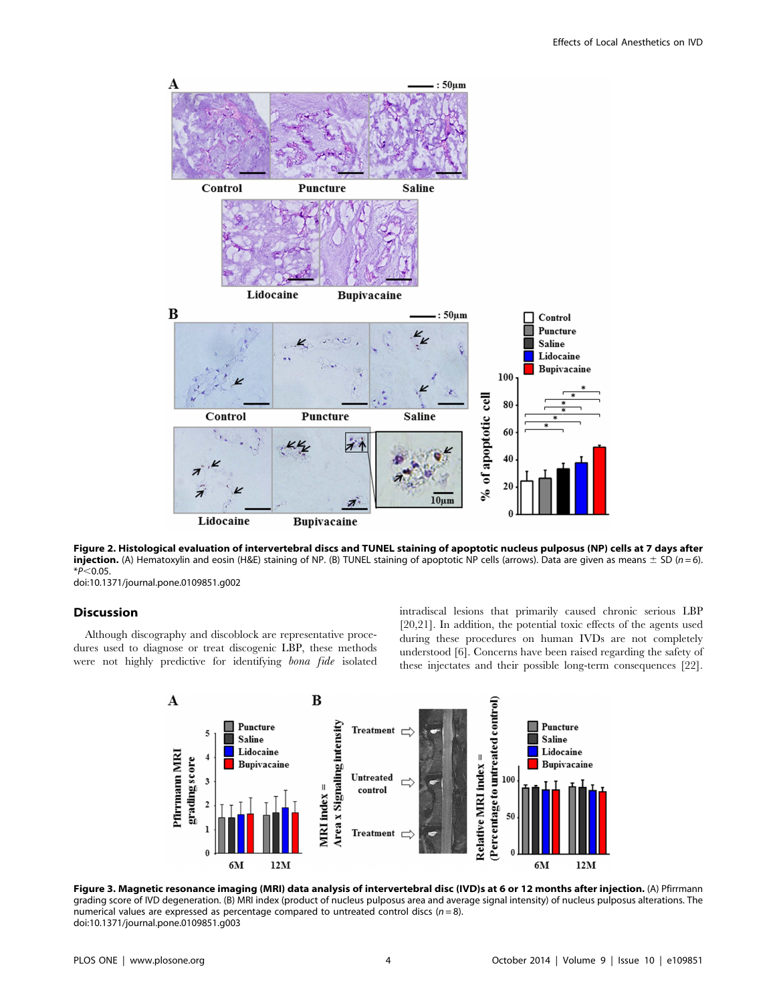

Figure 2. Histological evaluation of intervertebral discs and TUNEL staining of apoptotic nucleus pulposus (NP) cells at 7 days after **injection.** (A) Hematoxylin and eosin (H&E) staining of NP. (B) TUNEL staining of apoptotic NP cells (arrows). Data are given as means  $\pm$  SD (n = 6).  $*P<0.05$ .

doi:10.1371/journal.pone.0109851.g002

## Discussion

Although discography and discoblock are representative procedures used to diagnose or treat discogenic LBP, these methods were not highly predictive for identifying bona fide isolated intradiscal lesions that primarily caused chronic serious LBP [20,21]. In addition, the potential toxic effects of the agents used during these procedures on human IVDs are not completely understood [6]. Concerns have been raised regarding the safety of these injectates and their possible long-term consequences [22].



Figure 3. Magnetic resonance imaging (MRI) data analysis of intervertebral disc (IVD)s at 6 or 12 months after injection. (A) Pfirrmann grading score of IVD degeneration. (B) MRI index (product of nucleus pulposus area and average signal intensity) of nucleus pulposus alterations. The numerical values are expressed as percentage compared to untreated control discs ( $n = 8$ ). doi:10.1371/journal.pone.0109851.g003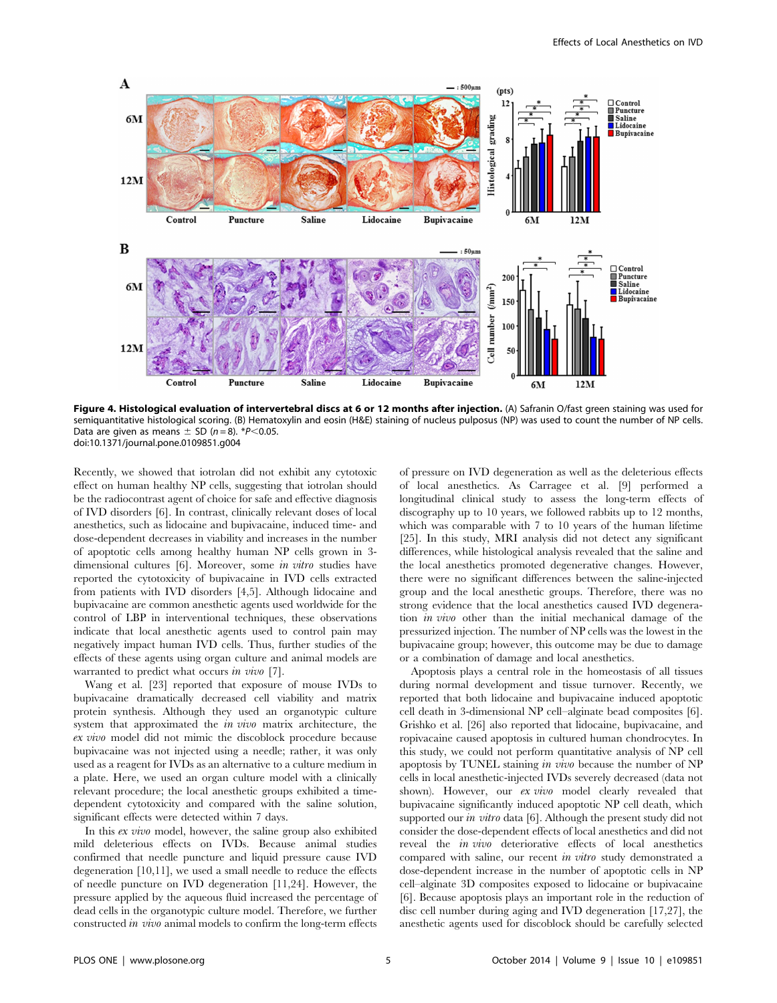

Figure 4. Histological evaluation of intervertebral discs at 6 or 12 months after injection. (A) Safranin O/fast green staining was used for semiquantitative histological scoring. (B) Hematoxylin and eosin (H&E) staining of nucleus pulposus (NP) was used to count the number of NP cells. Data are given as means  $\pm$  SD (n = 8). \*P<0.05. doi:10.1371/journal.pone.0109851.g004

Recently, we showed that iotrolan did not exhibit any cytotoxic effect on human healthy NP cells, suggesting that iotrolan should be the radiocontrast agent of choice for safe and effective diagnosis of IVD disorders [6]. In contrast, clinically relevant doses of local anesthetics, such as lidocaine and bupivacaine, induced time- and dose-dependent decreases in viability and increases in the number of apoptotic cells among healthy human NP cells grown in 3 dimensional cultures [6]. Moreover, some in vitro studies have reported the cytotoxicity of bupivacaine in IVD cells extracted from patients with IVD disorders [4,5]. Although lidocaine and bupivacaine are common anesthetic agents used worldwide for the control of LBP in interventional techniques, these observations indicate that local anesthetic agents used to control pain may negatively impact human IVD cells. Thus, further studies of the effects of these agents using organ culture and animal models are warranted to predict what occurs in vivo [7].

Wang et al. [23] reported that exposure of mouse IVDs to bupivacaine dramatically decreased cell viability and matrix protein synthesis. Although they used an organotypic culture system that approximated the in vivo matrix architecture, the ex vivo model did not mimic the discoblock procedure because bupivacaine was not injected using a needle; rather, it was only used as a reagent for IVDs as an alternative to a culture medium in a plate. Here, we used an organ culture model with a clinically relevant procedure; the local anesthetic groups exhibited a timedependent cytotoxicity and compared with the saline solution, significant effects were detected within 7 days.

In this ex vivo model, however, the saline group also exhibited mild deleterious effects on IVDs. Because animal studies confirmed that needle puncture and liquid pressure cause IVD degeneration [10,11], we used a small needle to reduce the effects of needle puncture on IVD degeneration [11,24]. However, the pressure applied by the aqueous fluid increased the percentage of dead cells in the organotypic culture model. Therefore, we further constructed in vivo animal models to confirm the long-term effects of pressure on IVD degeneration as well as the deleterious effects of local anesthetics. As Carragee et al. [9] performed a longitudinal clinical study to assess the long-term effects of discography up to 10 years, we followed rabbits up to 12 months, which was comparable with 7 to 10 years of the human lifetime [25]. In this study, MRI analysis did not detect any significant differences, while histological analysis revealed that the saline and the local anesthetics promoted degenerative changes. However, there were no significant differences between the saline-injected group and the local anesthetic groups. Therefore, there was no strong evidence that the local anesthetics caused IVD degeneration in vivo other than the initial mechanical damage of the pressurized injection. The number of NP cells was the lowest in the bupivacaine group; however, this outcome may be due to damage or a combination of damage and local anesthetics.

Apoptosis plays a central role in the homeostasis of all tissues during normal development and tissue turnover. Recently, we reported that both lidocaine and bupivacaine induced apoptotic cell death in 3-dimensional NP cell–alginate bead composites [6]. Grishko et al. [26] also reported that lidocaine, bupivacaine, and ropivacaine caused apoptosis in cultured human chondrocytes. In this study, we could not perform quantitative analysis of NP cell apoptosis by TUNEL staining in vivo because the number of NP cells in local anesthetic-injected IVDs severely decreased (data not shown). However, our ex vivo model clearly revealed that bupivacaine significantly induced apoptotic NP cell death, which supported our *in vitro* data [6]. Although the present study did not consider the dose-dependent effects of local anesthetics and did not reveal the in vivo deteriorative effects of local anesthetics compared with saline, our recent in vitro study demonstrated a dose-dependent increase in the number of apoptotic cells in NP cell–alginate 3D composites exposed to lidocaine or bupivacaine [6]. Because apoptosis plays an important role in the reduction of disc cell number during aging and IVD degeneration [17,27], the anesthetic agents used for discoblock should be carefully selected